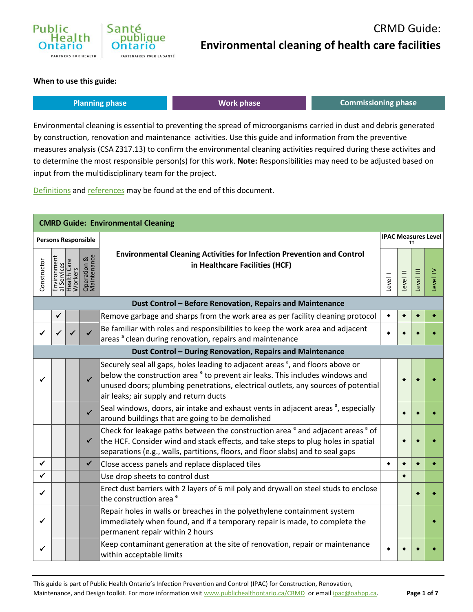

#### **When to use this guide:**

| <b>Planning phase</b> | <b>Work phase</b> | Commissioning phase |
|-----------------------|-------------------|---------------------|
|                       |                   |                     |

Environmental cleaning is essential to preventing the spread of microorganisms carried in dust and debris generated by construction, renovation and maintenance activities. Use this guide and information from the preventive measures analysis (CSA Z317.13) to confirm the environmental cleaning activities required during these activites and to determine the most responsible person(s) for this work. **Note:** Responsibilities may need to be adjusted based on input from the multidisciplinary team for the project.

[Definitions](#page-5-0) an[d references](#page-6-0) may be found at the end of this document.

|              |   |                                                      |                            | <b>CMRD Guide: Environmental Cleaning</b>                                                                                                                                                                                                                                                                      |           |          |                                    |                 |  |  |  |  |
|--------------|---|------------------------------------------------------|----------------------------|----------------------------------------------------------------------------------------------------------------------------------------------------------------------------------------------------------------------------------------------------------------------------------------------------------------|-----------|----------|------------------------------------|-----------------|--|--|--|--|
|              |   |                                                      | <b>Persons Responsible</b> |                                                                                                                                                                                                                                                                                                                |           |          | <b>IPAC Measures Level</b><br>$++$ |                 |  |  |  |  |
| Constructor  |   | Environment<br>al Services<br>Health Care<br>Workers | Operation &<br>Maintenance | <b>Environmental Cleaning Activities for Infection Prevention and Control</b><br>in Healthcare Facilities (HCF)                                                                                                                                                                                                | level     | Level II | Ξ<br>Level                         | $\geq$<br>Level |  |  |  |  |
|              |   |                                                      |                            | Dust Control - Before Renovation, Repairs and Maintenance                                                                                                                                                                                                                                                      |           |          |                                    |                 |  |  |  |  |
|              | ✔ |                                                      |                            | Remove garbage and sharps from the work area as per facility cleaning protocol                                                                                                                                                                                                                                 | $\bullet$ |          |                                    |                 |  |  |  |  |
|              |   |                                                      |                            | Be familiar with roles and responsibilities to keep the work area and adjacent<br>areas <sup>a</sup> clean during renovation, repairs and maintenance                                                                                                                                                          |           |          |                                    |                 |  |  |  |  |
|              |   |                                                      |                            | Dust Control - During Renovation, Repairs and Maintenance                                                                                                                                                                                                                                                      |           |          |                                    |                 |  |  |  |  |
|              |   |                                                      | $\checkmark$               | Securely seal all gaps, holes leading to adjacent areas <sup>a</sup> , and floors above or<br>below the construction area $e^e$ to prevent air leaks. This includes windows and<br>unused doors; plumbing penetrations, electrical outlets, any sources of potential<br>air leaks; air supply and return ducts |           |          |                                    |                 |  |  |  |  |
|              |   |                                                      | $\checkmark$               | Seal windows, doors, air intake and exhaust vents in adjacent areas <sup>a</sup> , especially<br>around buildings that are going to be demolished                                                                                                                                                              |           |          |                                    |                 |  |  |  |  |
|              |   |                                                      | ✔                          | Check for leakage paths between the construction area $e^e$ and adjacent areas $^a$ of<br>the HCF. Consider wind and stack effects, and take steps to plug holes in spatial<br>separations (e.g., walls, partitions, floors, and floor slabs) and to seal gaps                                                 |           |          |                                    |                 |  |  |  |  |
| $\checkmark$ |   |                                                      | $\checkmark$               | Close access panels and replace displaced tiles                                                                                                                                                                                                                                                                | ٠         | ٠        |                                    |                 |  |  |  |  |
| ✓            |   |                                                      |                            | Use drop sheets to control dust                                                                                                                                                                                                                                                                                |           |          |                                    |                 |  |  |  |  |
|              |   |                                                      |                            | Erect dust barriers with 2 layers of 6 mil poly and drywall on steel studs to enclose<br>the construction area <sup>e</sup>                                                                                                                                                                                    |           |          |                                    |                 |  |  |  |  |
|              |   |                                                      |                            | Repair holes in walls or breaches in the polyethylene containment system<br>immediately when found, and if a temporary repair is made, to complete the<br>permanent repair within 2 hours                                                                                                                      |           |          |                                    |                 |  |  |  |  |
|              |   |                                                      |                            | Keep contaminant generation at the site of renovation, repair or maintenance<br>within acceptable limits                                                                                                                                                                                                       |           |          |                                    |                 |  |  |  |  |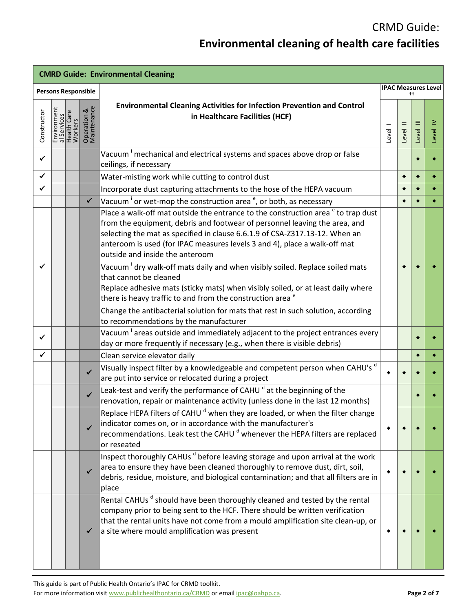| <b>CMRD Guide: Environmental Cleaning</b> |                                                      |  |                            |                                                                                                                                                                                                                                                                                                                                                                                                  |                                  |           |            |                 |  |
|-------------------------------------------|------------------------------------------------------|--|----------------------------|--------------------------------------------------------------------------------------------------------------------------------------------------------------------------------------------------------------------------------------------------------------------------------------------------------------------------------------------------------------------------------------------------|----------------------------------|-----------|------------|-----------------|--|
|                                           | <b>Persons Responsible</b>                           |  |                            |                                                                                                                                                                                                                                                                                                                                                                                                  | <b>IPAC Measures Level</b><br>++ |           |            |                 |  |
| Constructor                               | Environment<br>al Services<br>Health Care<br>Workers |  | Operation &<br>Maintenance | <b>Environmental Cleaning Activities for Infection Prevention and Control</b><br>in Healthcare Facilities (HCF)                                                                                                                                                                                                                                                                                  | Level                            | Level II  | Ξ<br>Level | $\geq$<br>Level |  |
| ✓                                         |                                                      |  |                            | Vacuum <sup>i</sup> mechanical and electrical systems and spaces above drop or false<br>ceilings, if necessary                                                                                                                                                                                                                                                                                   |                                  |           |            |                 |  |
| ✓                                         |                                                      |  |                            | Water-misting work while cutting to control dust                                                                                                                                                                                                                                                                                                                                                 |                                  | $\bullet$ | $\bullet$  |                 |  |
| $\checkmark$                              |                                                      |  |                            | Incorporate dust capturing attachments to the hose of the HEPA vacuum                                                                                                                                                                                                                                                                                                                            |                                  |           |            |                 |  |
|                                           |                                                      |  | $\checkmark$               | Vacuum <sup>i</sup> or wet-mop the construction area <sup>e</sup> , or both, as necessary                                                                                                                                                                                                                                                                                                        |                                  |           |            |                 |  |
|                                           |                                                      |  |                            | Place a walk-off mat outside the entrance to the construction area <sup>e</sup> to trap dust<br>from the equipment, debris and footwear of personnel leaving the area, and<br>selecting the mat as specified in clause 6.6.1.9 of CSA-Z317.13-12. When an<br>anteroom is used (for IPAC measures levels 3 and 4), place a walk-off mat<br>outside and inside the anteroom                        |                                  |           |            |                 |  |
|                                           |                                                      |  |                            | Vacuum dry walk-off mats daily and when visibly soiled. Replace soiled mats<br>that cannot be cleaned<br>Replace adhesive mats (sticky mats) when visibly soiled, or at least daily where<br>there is heavy traffic to and from the construction area <sup>e</sup><br>Change the antibacterial solution for mats that rest in such solution, according<br>to recommendations by the manufacturer |                                  |           |            |                 |  |
| $\checkmark$                              |                                                      |  |                            | Vacuum areas outside and immediately adjacent to the project entrances every<br>day or more frequently if necessary (e.g., when there is visible debris)                                                                                                                                                                                                                                         |                                  |           |            |                 |  |
| ✓                                         |                                                      |  |                            | Clean service elevator daily                                                                                                                                                                                                                                                                                                                                                                     |                                  |           |            |                 |  |
|                                           |                                                      |  | ✓                          | Visually inspect filter by a knowledgeable and competent person when CAHU's d<br>are put into service or relocated during a project                                                                                                                                                                                                                                                              |                                  |           |            |                 |  |
|                                           |                                                      |  | $\checkmark$               | Leak-test and verify the performance of CAHU <sup>d</sup> at the beginning of the<br>renovation, repair or maintenance activity (unless done in the last 12 months)                                                                                                                                                                                                                              |                                  |           |            |                 |  |
|                                           |                                                      |  | ✓                          | Replace HEPA filters of CAHU <sup>d</sup> when they are loaded, or when the filter change<br>indicator comes on, or in accordance with the manufacturer's<br>recommendations. Leak test the CAHU <sup>d</sup> whenever the HEPA filters are replaced<br>or reseated                                                                                                                              |                                  |           |            |                 |  |
|                                           |                                                      |  | ✓                          | Inspect thoroughly CAHUs d before leaving storage and upon arrival at the work<br>area to ensure they have been cleaned thoroughly to remove dust, dirt, soil,<br>debris, residue, moisture, and biological contamination; and that all filters are in<br>place                                                                                                                                  |                                  |           |            |                 |  |
|                                           |                                                      |  | ✔                          | Rental CAHUs <sup>d</sup> should have been thoroughly cleaned and tested by the rental<br>company prior to being sent to the HCF. There should be written verification<br>that the rental units have not come from a mould amplification site clean-up, or<br>a site where mould amplification was present                                                                                       |                                  |           |            |                 |  |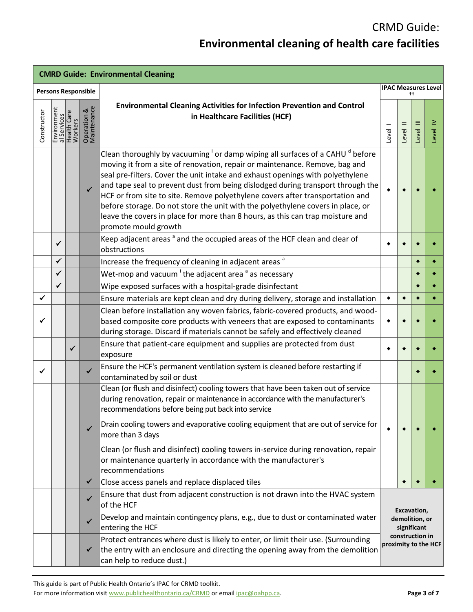| <b>CMRD Guide: Environmental Cleaning</b> |                            |                        |                            |                                                                                                                                                                                                                                                                                                                                                                                                                                                                                                                                                                                                                                        |                                                                                         |           |           |            |  |
|-------------------------------------------|----------------------------|------------------------|----------------------------|----------------------------------------------------------------------------------------------------------------------------------------------------------------------------------------------------------------------------------------------------------------------------------------------------------------------------------------------------------------------------------------------------------------------------------------------------------------------------------------------------------------------------------------------------------------------------------------------------------------------------------------|-----------------------------------------------------------------------------------------|-----------|-----------|------------|--|
|                                           | <b>Persons Responsible</b> |                        |                            |                                                                                                                                                                                                                                                                                                                                                                                                                                                                                                                                                                                                                                        | <b>IPAC Measures Level</b><br>$^{++}$                                                   |           |           |            |  |
| Constructor                               | Environment<br>al Services | Health Care<br>Workers | Operation &<br>Maintenance | <b>Environmental Cleaning Activities for Infection Prevention and Control</b><br>in Healthcare Facilities (HCF)                                                                                                                                                                                                                                                                                                                                                                                                                                                                                                                        | Level 1                                                                                 | Level II  | Level III | ≧<br>Level |  |
|                                           |                            |                        | $\checkmark$               | Clean thoroughly by vacuuming <sup>i</sup> or damp wiping all surfaces of a CAHU <sup>d</sup> before<br>moving it from a site of renovation, repair or maintenance. Remove, bag and<br>seal pre-filters. Cover the unit intake and exhaust openings with polyethylene<br>and tape seal to prevent dust from being dislodged during transport through the<br>HCF or from site to site. Remove polyethylene covers after transportation and<br>before storage. Do not store the unit with the polyethylene covers in place, or<br>leave the covers in place for more than 8 hours, as this can trap moisture and<br>promote mould growth |                                                                                         |           |           |            |  |
|                                           | ✓                          |                        |                            | Keep adjacent areas <sup>a</sup> and the occupied areas of the HCF clean and clear of<br>obstructions                                                                                                                                                                                                                                                                                                                                                                                                                                                                                                                                  |                                                                                         |           |           |            |  |
|                                           | ✓                          |                        |                            | Increase the frequency of cleaning in adjacent areas <sup>a</sup>                                                                                                                                                                                                                                                                                                                                                                                                                                                                                                                                                                      |                                                                                         |           |           |            |  |
|                                           | ✓                          |                        |                            | Wet-mop and vacuum <sup>i</sup> the adjacent area <sup>a</sup> as necessary                                                                                                                                                                                                                                                                                                                                                                                                                                                                                                                                                            |                                                                                         |           |           |            |  |
|                                           | ✓                          |                        |                            | Wipe exposed surfaces with a hospital-grade disinfectant                                                                                                                                                                                                                                                                                                                                                                                                                                                                                                                                                                               |                                                                                         |           |           |            |  |
| ✔                                         |                            |                        |                            | Ensure materials are kept clean and dry during delivery, storage and installation                                                                                                                                                                                                                                                                                                                                                                                                                                                                                                                                                      | $\blacklozenge$                                                                         | $\bullet$ |           |            |  |
|                                           |                            |                        |                            | Clean before installation any woven fabrics, fabric-covered products, and wood-<br>based composite core products with veneers that are exposed to contaminants<br>during storage. Discard if materials cannot be safely and effectively cleaned                                                                                                                                                                                                                                                                                                                                                                                        | ٠                                                                                       |           |           |            |  |
|                                           |                            | ✓                      |                            | Ensure that patient-care equipment and supplies are protected from dust<br>exposure                                                                                                                                                                                                                                                                                                                                                                                                                                                                                                                                                    |                                                                                         |           |           |            |  |
| ✓                                         |                            |                        | $\checkmark$               | Ensure the HCF's permanent ventilation system is cleaned before restarting if<br>contaminated by soil or dust                                                                                                                                                                                                                                                                                                                                                                                                                                                                                                                          |                                                                                         |           |           |            |  |
|                                           |                            |                        | ✓                          | Clean (or flush and disinfect) cooling towers that have been taken out of service<br>during renovation, repair or maintenance in accordance with the manufacturer's<br>recommendations before being put back into service<br>Drain cooling towers and evaporative cooling equipment that are out of service for<br>more than 3 days                                                                                                                                                                                                                                                                                                    |                                                                                         |           |           |            |  |
|                                           |                            |                        |                            | Clean (or flush and disinfect) cooling towers in-service during renovation, repair<br>or maintenance quarterly in accordance with the manufacturer's<br>recommendations                                                                                                                                                                                                                                                                                                                                                                                                                                                                |                                                                                         |           |           |            |  |
|                                           |                            |                        | ✔                          | Close access panels and replace displaced tiles                                                                                                                                                                                                                                                                                                                                                                                                                                                                                                                                                                                        |                                                                                         |           |           |            |  |
|                                           |                            |                        | ✔                          | Ensure that dust from adjacent construction is not drawn into the HVAC system<br>of the HCF                                                                                                                                                                                                                                                                                                                                                                                                                                                                                                                                            | Excavation,<br>demolition, or<br>significant<br>construction in<br>proximity to the HCF |           |           |            |  |
|                                           |                            |                        | ✓                          | Develop and maintain contingency plans, e.g., due to dust or contaminated water<br>entering the HCF                                                                                                                                                                                                                                                                                                                                                                                                                                                                                                                                    |                                                                                         |           |           |            |  |
|                                           |                            |                        | ✔                          | Protect entrances where dust is likely to enter, or limit their use. (Surrounding<br>the entry with an enclosure and directing the opening away from the demolition<br>can help to reduce dust.)                                                                                                                                                                                                                                                                                                                                                                                                                                       |                                                                                         |           |           |            |  |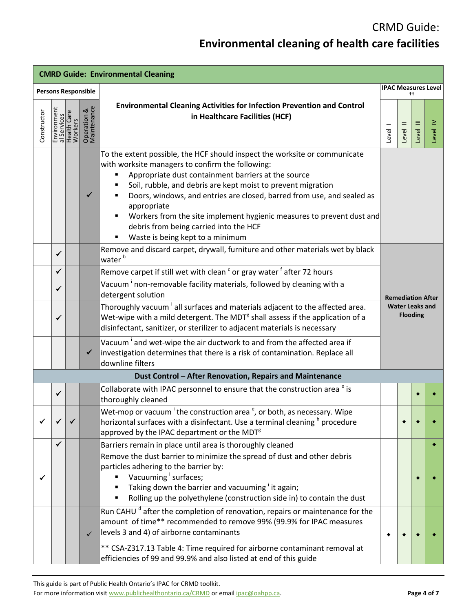| <b>CMRD Guide: Environmental Cleaning</b> |                                                      |  |                            |                                                                                                                                                                                                                                                                                                                                                                                                                                                                                                       |                                           |          |                          |            |  |  |
|-------------------------------------------|------------------------------------------------------|--|----------------------------|-------------------------------------------------------------------------------------------------------------------------------------------------------------------------------------------------------------------------------------------------------------------------------------------------------------------------------------------------------------------------------------------------------------------------------------------------------------------------------------------------------|-------------------------------------------|----------|--------------------------|------------|--|--|
|                                           | <b>Persons Responsible</b>                           |  |                            |                                                                                                                                                                                                                                                                                                                                                                                                                                                                                                       | <b>IPAC Measures Level</b>                |          |                          |            |  |  |
| Constructor                               | Environment<br>al Services<br>Health Care<br>Workers |  | Operation &<br>Maintenance | <b>Environmental Cleaning Activities for Infection Prevention and Control</b><br>in Healthcare Facilities (HCF)                                                                                                                                                                                                                                                                                                                                                                                       | Level I                                   | Level II | E<br>Level               | ≧<br>Level |  |  |
|                                           |                                                      |  | ✓                          | To the extent possible, the HCF should inspect the worksite or communicate<br>with worksite managers to confirm the following:<br>Appropriate dust containment barriers at the source<br>Soil, rubble, and debris are kept moist to prevent migration<br>Doors, windows, and entries are closed, barred from use, and sealed as<br>appropriate<br>Workers from the site implement hygienic measures to prevent dust and<br>debris from being carried into the HCF<br>Waste is being kept to a minimum |                                           |          |                          |            |  |  |
|                                           | ✓                                                    |  |                            | Remove and discard carpet, drywall, furniture and other materials wet by black<br>water <sup>b</sup>                                                                                                                                                                                                                                                                                                                                                                                                  |                                           |          |                          |            |  |  |
|                                           | ✓                                                    |  |                            | Remove carpet if still wet with clean <sup>c</sup> or gray water <sup>f</sup> after 72 hours                                                                                                                                                                                                                                                                                                                                                                                                          |                                           |          |                          |            |  |  |
|                                           | ✓                                                    |  |                            | Vacuum <sup>i</sup> non-removable facility materials, followed by cleaning with a<br>detergent solution                                                                                                                                                                                                                                                                                                                                                                                               |                                           |          | <b>Remediation After</b> |            |  |  |
|                                           | ✔                                                    |  |                            | Thoroughly vacuum <sup>i</sup> all surfaces and materials adjacent to the affected area.<br>Wet-wipe with a mild detergent. The MDT <sup>g</sup> shall assess if the application of a<br>disinfectant, sanitizer, or sterilizer to adjacent materials is necessary                                                                                                                                                                                                                                    | <b>Water Leaks and</b><br><b>Flooding</b> |          |                          |            |  |  |
|                                           |                                                      |  | ✔                          | Vacuum <sup>i</sup> and wet-wipe the air ductwork to and from the affected area if<br>investigation determines that there is a risk of contamination. Replace all<br>downline filters                                                                                                                                                                                                                                                                                                                 |                                           |          |                          |            |  |  |
|                                           |                                                      |  |                            | Dust Control - After Renovation, Repairs and Maintenance                                                                                                                                                                                                                                                                                                                                                                                                                                              |                                           |          |                          |            |  |  |
|                                           | $\checkmark$                                         |  |                            | Collaborate with IPAC personnel to ensure that the construction area <sup>e</sup> is<br>thoroughly cleaned                                                                                                                                                                                                                                                                                                                                                                                            |                                           |          |                          |            |  |  |
|                                           |                                                      |  |                            | Wet-mop or vacuum <sup>i</sup> the construction area <sup>e</sup> , or both, as necessary. Wipe<br>horizontal surfaces with a disinfectant. Use a terminal cleaning <sup>h</sup> procedure<br>approved by the IPAC department or the MDT <sup>g</sup>                                                                                                                                                                                                                                                 |                                           |          |                          |            |  |  |
|                                           | $\checkmark$                                         |  |                            | Barriers remain in place until area is thoroughly cleaned                                                                                                                                                                                                                                                                                                                                                                                                                                             |                                           |          |                          |            |  |  |
|                                           |                                                      |  |                            | Remove the dust barrier to minimize the spread of dust and other debris<br>particles adhering to the barrier by:<br>Vacuuming surfaces;<br>Taking down the barrier and vacuuming it again;<br>Rolling up the polyethylene (construction side in) to contain the dust                                                                                                                                                                                                                                  |                                           |          |                          |            |  |  |
|                                           |                                                      |  | $\checkmark$               | Run CAHU <sup>d</sup> after the completion of renovation, repairs or maintenance for the<br>amount of time** recommended to remove 99% (99.9% for IPAC measures<br>levels 3 and 4) of airborne contaminants<br>** CSA-Z317.13 Table 4: Time required for airborne contaminant removal at<br>efficiencies of 99 and 99.9% and also listed at end of this guide                                                                                                                                         |                                           |          |                          |            |  |  |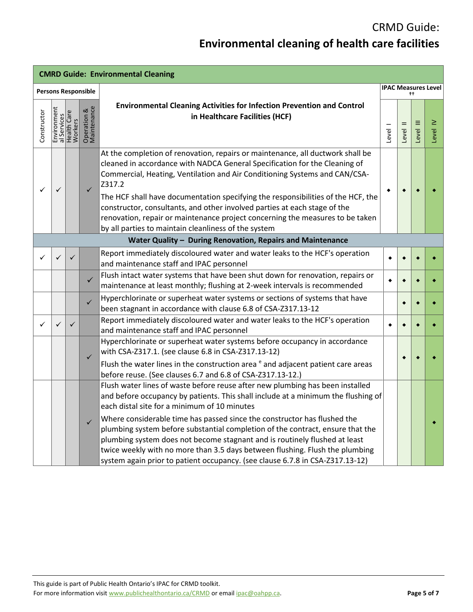| <b>CMRD Guide: Environmental Cleaning</b> |                            |                                                      |                                       |                                                                                                                                                                                                                                                                                                                                                                                                                                                                                                                                                                |           |          |            |            |  |
|-------------------------------------------|----------------------------|------------------------------------------------------|---------------------------------------|----------------------------------------------------------------------------------------------------------------------------------------------------------------------------------------------------------------------------------------------------------------------------------------------------------------------------------------------------------------------------------------------------------------------------------------------------------------------------------------------------------------------------------------------------------------|-----------|----------|------------|------------|--|
|                                           | <b>Persons Responsible</b> |                                                      | <b>IPAC Measures Level</b><br>$^{++}$ |                                                                                                                                                                                                                                                                                                                                                                                                                                                                                                                                                                |           |          |            |            |  |
| Constructor                               |                            | Environment<br>al Services<br>Health Care<br>Workers | Operation &<br>Maintenance            | <b>Environmental Cleaning Activities for Infection Prevention and Control</b><br>in Healthcare Facilities (HCF)                                                                                                                                                                                                                                                                                                                                                                                                                                                | Level     | Level II | Ξ<br>Level | ≥<br>Level |  |
|                                           | ✓                          |                                                      | ✓                                     | At the completion of renovation, repairs or maintenance, all ductwork shall be<br>cleaned in accordance with NADCA General Specification for the Cleaning of<br>Commercial, Heating, Ventilation and Air Conditioning Systems and CAN/CSA-<br>Z317.2<br>The HCF shall have documentation specifying the responsibilities of the HCF, the<br>constructor, consultants, and other involved parties at each stage of the<br>renovation, repair or maintenance project concerning the measures to be taken<br>by all parties to maintain cleanliness of the system | ٠         |          |            |            |  |
|                                           |                            |                                                      |                                       | Water Quality - During Renovation, Repairs and Maintenance                                                                                                                                                                                                                                                                                                                                                                                                                                                                                                     |           |          |            |            |  |
| ✓                                         | ✓                          | $\checkmark$                                         |                                       | Report immediately discoloured water and water leaks to the HCF's operation<br>and maintenance staff and IPAC personnel                                                                                                                                                                                                                                                                                                                                                                                                                                        |           |          |            |            |  |
|                                           |                            |                                                      | ✓                                     | Flush intact water systems that have been shut down for renovation, repairs or<br>maintenance at least monthly; flushing at 2-week intervals is recommended                                                                                                                                                                                                                                                                                                                                                                                                    | $\bullet$ |          |            |            |  |
|                                           |                            |                                                      | $\checkmark$                          | Hyperchlorinate or superheat water systems or sections of systems that have<br>been stagnant in accordance with clause 6.8 of CSA-Z317.13-12                                                                                                                                                                                                                                                                                                                                                                                                                   |           |          |            |            |  |
| ✓                                         | $\checkmark$               | $\checkmark$                                         |                                       | Report immediately discoloured water and water leaks to the HCF's operation<br>and maintenance staff and IPAC personnel                                                                                                                                                                                                                                                                                                                                                                                                                                        |           |          |            |            |  |
|                                           |                            |                                                      | $\checkmark$                          | Hyperchlorinate or superheat water systems before occupancy in accordance<br>with CSA-Z317.1. (see clause 6.8 in CSA-Z317.13-12)<br>Flush the water lines in the construction area <sup>e</sup> and adjacent patient care areas<br>before reuse. (See clauses 6.7 and 6.8 of CSA-Z317.13-12.)                                                                                                                                                                                                                                                                  |           |          |            |            |  |
|                                           |                            |                                                      |                                       | Flush water lines of waste before reuse after new plumbing has been installed<br>and before occupancy by patients. This shall include at a minimum the flushing of<br>each distal site for a minimum of 10 minutes                                                                                                                                                                                                                                                                                                                                             |           |          |            |            |  |
|                                           |                            |                                                      | $\checkmark$                          | Where considerable time has passed since the constructor has flushed the<br>plumbing system before substantial completion of the contract, ensure that the<br>plumbing system does not become stagnant and is routinely flushed at least<br>twice weekly with no more than 3.5 days between flushing. Flush the plumbing<br>system again prior to patient occupancy. (see clause 6.7.8 in CSA-Z317.13-12)                                                                                                                                                      |           |          |            |            |  |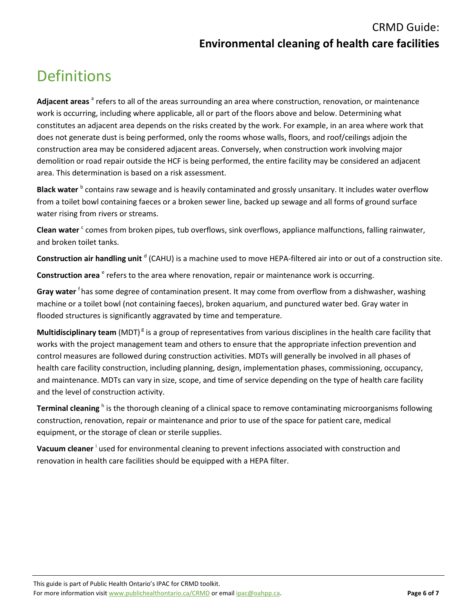### CRMD Guide: **Environmental cleaning of health care facilities**

# <span id="page-5-0"></span>**Definitions**

Adjacent areas <sup>a</sup> refers to all of the areas surrounding an area where construction, renovation, or maintenance work is occurring, including where applicable, all or part of the floors above and below. Determining what constitutes an adjacent area depends on the risks created by the work. For example, in an area where work that does not generate dust is being performed, only the rooms whose walls, floors, and roof/ceilings adjoin the construction area may be considered adjacent areas. Conversely, when construction work involving major demolition or road repair outside the HCF is being performed, the entire facility may be considered an adjacent area. This determination is based on a risk assessment.

Black water <sup>b</sup> contains raw sewage and is heavily contaminated and grossly unsanitary. It includes water overflow from a toilet bowl containing faeces or a broken sewer line, backed up sewage and all forms of ground surface water rising from rivers or streams.

Clean water <sup>c</sup> comes from broken pipes, tub overflows, sink overflows, appliance malfunctions, falling rainwater, and broken toilet tanks.

**Construction air handling unit** <sup>d</sup> (CAHU) is a machine used to move HEPA-filtered air into or out of a construction site.

Construction area <sup>e</sup> refers to the area where renovation, repair or maintenance work is occurring.

Gray water <sup>f</sup>has some degree of contamination present. It may come from overflow from a dishwasher, washing machine or a toilet bowl (not containing faeces), broken aquarium, and punctured water bed. Gray water in flooded structures is significantly aggravated by time and temperature.

Multidisciplinary team (MDT)<sup>8</sup> is a group of representatives from various disciplines in the health care facility that works with the project management team and others to ensure that the appropriate infection prevention and control measures are followed during construction activities. MDTs will generally be involved in all phases of health care facility construction, including planning, design, implementation phases, commissioning, occupancy, and maintenance. MDTs can vary in size, scope, and time of service depending on the type of health care facility and the level of construction activity.

Terminal cleaning <sup>h</sup> is the thorough cleaning of a clinical space to remove contaminating microorganisms following construction, renovation, repair or maintenance and prior to use of the space for patient care, medical equipment, or the storage of clean or sterile supplies.

Vacuum cleaner <sup>i</sup> used for environmental cleaning to prevent infections associated with construction and renovation in health care facilities should be equipped with a HEPA filter.